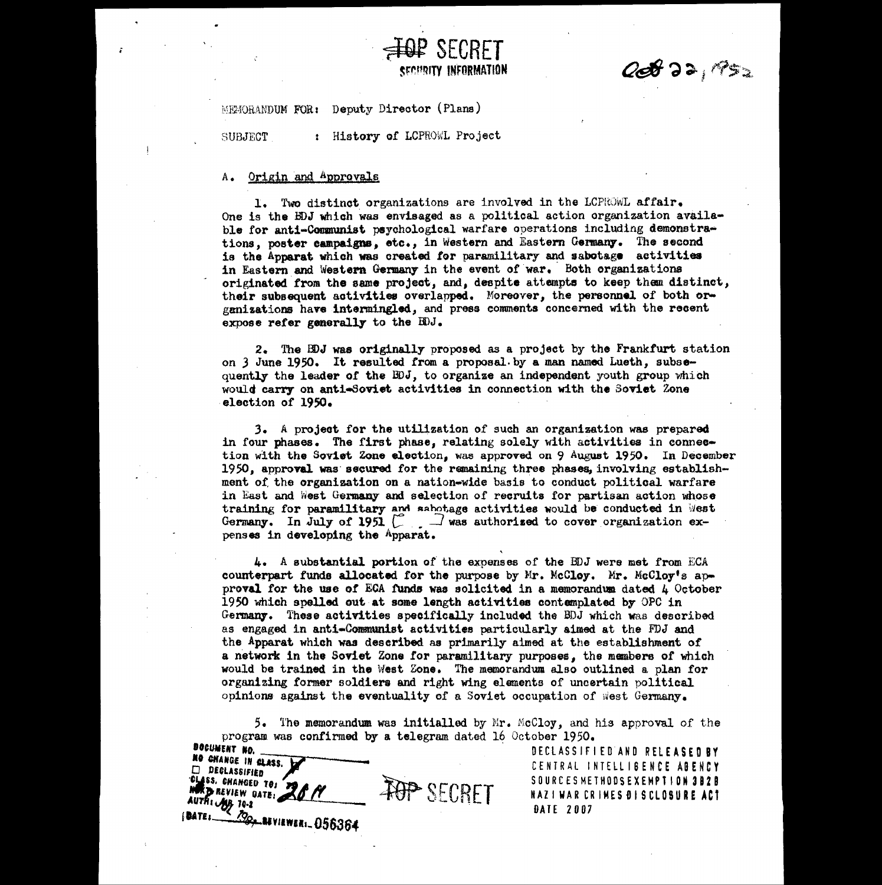**00872, PS2** 

**SP SECRET**<br>SECURITY INFORMATION MEgORANDUK FOR: Deputy Director (Plans) SUBJECT.<br>
SUBJECT.<br>
SUBJECT.<br>
: History of LCPROWL Project A. Origin and Approvals

## A. Origin and Approvals

1. Two distinct organizations are involved in the LCPRoWl, affair. One is the BDJ which *was* envisaged as a political action organization available for **anti-Communist** psychological warfare operations including demonstrations, poster campaigns, etc., in Western and Eastern Germany. The second is the **Apparat** which **was** created for paramilitary and sabotage activities in Eastern and Western Germany in the event of war. Both organizations originated from the same project, and, despite attempte to keep them distinct, their subsequent activities overlapped. Moreover, the personnel of both orgenizations have intermingled, and press comments concerned with the **reeent expose refer generally** to the BDJ.

-AGIR SECRET

2. The DDJ was originally proposed as a project by the Frankfurt station on 3 June 1950. It resulted from a proposal. by a man named Lueth, subsequently the leader of the BDJ, to organize an independent youth group which would carry on anti-Soviet activities in connection with the Soviet Zone election of 1950.

3, A project for the utilization of such an organization was prepared in four phases. The first phase, relating solely with activities in connec**tion** with the Soviet Zone election, was approved on 9 August 1950. In December 1950, approval was secured for the remaining three phases, involving establishment of the **organization on** a nation-wide basis to conduct political warfare in East and West Germany and selection of recruits for partisan action whose training for paramilitary and sabotage activities would be conducted in Mest Germany. In July of 1951  $\begin{bmatrix} 2 & 1 \end{bmatrix}$  was authorized to cover organization expens **es** in developing the Apparat.

4. <sup>A</sup>**substantial portion** of the expenses of the DDJ were met from ECA counterpart funds allocated for the purpose by Mr. McCloy. Mr. McCloy<sup>t</sup>s ap**proval** for the **use** of BOA funds *was* solicited in a memorandum dated 4 October 1950 which spelled out at some length **activities** contemplated by OPC **in** Germany. These activities specifically included the DDJ which was described as engaged in anti-Communist activities particularly aimed at the FDJ and the Apparat which was described as primarily aimed at the establishment of a network in the **Soviet** Zone for paramilitary purposes, the members of which would be trained in the West Zone. The memorandum also outlined a plan for organizing former soldiers and right wing elements of uncertain political opinions against the eventuality of a Soviet occupation of .west Germany.

The memorandum was **initialled** by 5. Mr. McCloy, and his approval of the program was confirmed by a telegram dated 16 October 1950.

**TOP SECRET NO CHANGE IN CLASS.**<br>  $\Box$  **DECLASSIFIED NSS. CHANGED TO: AUTH: AEVIEW DATE:**<br>AUTH: **AU**B 70-2 <sup>f</sup>**eArli,74,14vlawani,** <sup>056364</sup>

DECLASSIFIED AND RELEASED BY CENTRAL INTELLIBENCE AGENCY **SOURCESMETHOOSEXEMPT ION 3B20 NAZI WAR CR IMESOISCLOSURE ACT DATE 2007**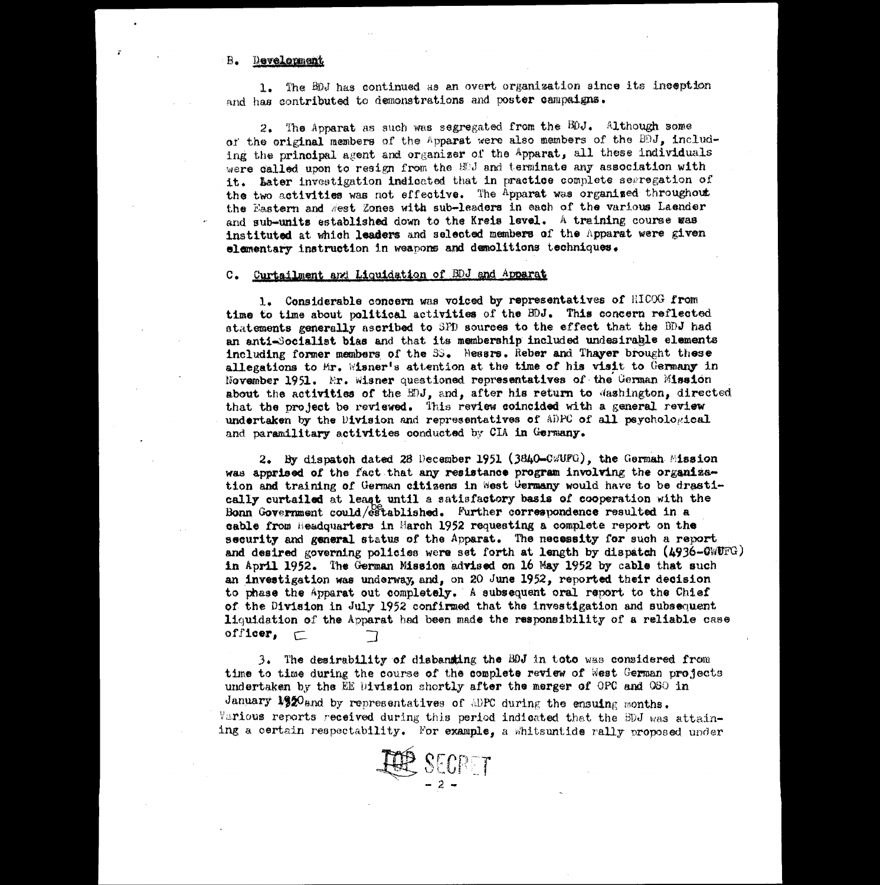## Development  $B_{\bullet}$

1. The 4DJ has continued as an overt organization since its inception and has contributed to demonstrations and poster campaigns.

2. The Apparat as such was segregated from the EOJ. Although some of the original members of the Apparat were also members of the BDJ, including the principal agent and organizer of the Apparat, all these individuals were called upon to resign from the HPJ and terminate any association with it. Later investigation indicated that in practice complete segregation of the two activities was not effective. The Apparat was organised throughout the Eastern and West Zones with sub-leaders in each of the various Laender and **sub-units** established down to the **Kreis level.** A training course was instituted at which **leaders** and selected members of the Apparat were given elementary instruction in weapons **and demolitions techniques.**

## C. Curtailment and Liquidation of BDJ and Apparat

**1. Considerable coneern was voiced** by representatives of HICOG **from time to time about political activities of the BDJ. This concern reflected statements generally ascribed to SPD sources to the effect that the DDJ had. an anti-Socialist bias** and that its membership molded **undesirage elements including former members** of the 3. Neeers. **Reber and Thayer** brought **these allegations to** Mr. Wiener's attention **at the time of his visit to Germany in November 1951.** 'ET. **Wisner** questioned **representatives** of the German **Mission about** the **activities** of the BDJ, and, after **his return to** Washington, directed that the project be reviewed. This **review coincided with a general review** undertaken by the Division and representatives of ADPC of all psychological and, paramilitary activities conducted by CIA **in Germany.**

2. By dispatch dated 28 December 1951 (3840-CWUFG), the German Mission **was apprised of the** fact that **any resistance program involving** the **organization and training of German citizens in** west Germany would have to be **drasti-**2. By dispatch dated 28 December 1951 (3840–CWUFG), the German Mission was apprised of the fact that any resistance program involving the organize tion and training of German citizens in west Germany would have to be drast **cable from Headquarters in** March 1952 requesting **a** complete report on the **security and general** status of the Apparat. The **necessity for such a report and desired governing policies** were set forth at **length** by dispatch **(4936-014FG) in April 1952. The German Mission advised on 16 May 1952 by cable that such an investigation was underway, and, on 20** June 1952, reported their **decision** to phase the Apparat out completely. **A** subsequent oral **report** to the Chief of the **Division in July** 1952 confirmed that the investigation and subsequent liquidation of the Apparat had been made the responsibility of **a reliable case** 2. By dispatch dat<br>
was apprised of the fact<br>
tion and training of Ger<br>
cally curtailed at least<br>
Bonn Government could/es<br>
cable from Headquarters<br>
security and general sta<br>
and desired governing point<br>
in April 1952. The

 $3.$  The desirability of disbanding the BDJ in toto was considered from time to time during the course of the **complete review** of West German projects undertaken by the EE Division shortly after the merger **of** GPO and OSO in January 1920and by representatives of ADPC during the ensuing months. Various reports received during this period indicated that the BDJ was attaining a certain respectability. For **example, a** Whitsuntide rally proposed. under

**EER SECRET**